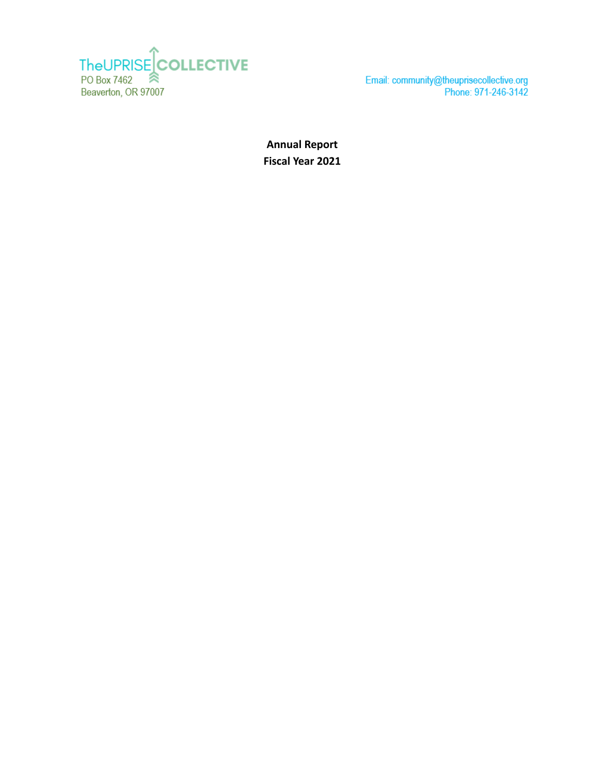

Email: community@theuprisecollective.org<br>Phone: 971-246-3142

**Annual Report Fiscal Year 2021**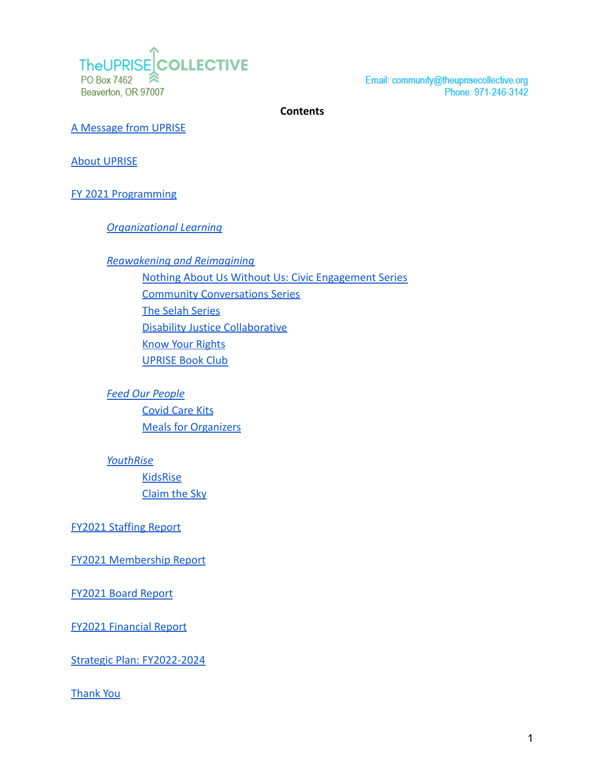

Email: community@theuprisecollective.org Phone: 971-246-3142

**Contents**

[A Message from UPRISE](#page-2-0)

[About UPRISE](#page-2-1)

[FY 2021 Programming](#page-4-0)

*[Organizational Learning](#page-4-1)*

*[Reawakening and Reimagining](#page-8-0)* [Nothing About Us Without Us: Civic Engagement Series](#page-8-1) [Community Conversations Series](#page-8-2) [The Selah Series](#page-8-3) [Disability Justice Collaborative](#page-10-0) [Know Your Rights](#page-9-0) [UPRISE Book Club](#page-9-1)

*[Feed Our People](#page-9-2)* [Covid Care Kits](#page-9-3) [Meals for Organizers](#page-10-1)

*[YouthRise](#page-10-2)*

**[KidsRise](#page-10-3)** [Claim the Sky](#page-10-4)

[FY2021 Staffing Report](#page-11-0)

[FY2021 Membership Report](#page-11-1)

[FY2021 Board Report](#page-12-0)

[FY2021 Financial Report](#page-13-0)

[Strategic Plan: FY2022-2024](#page-14-0)

[Thank You](#page-15-0)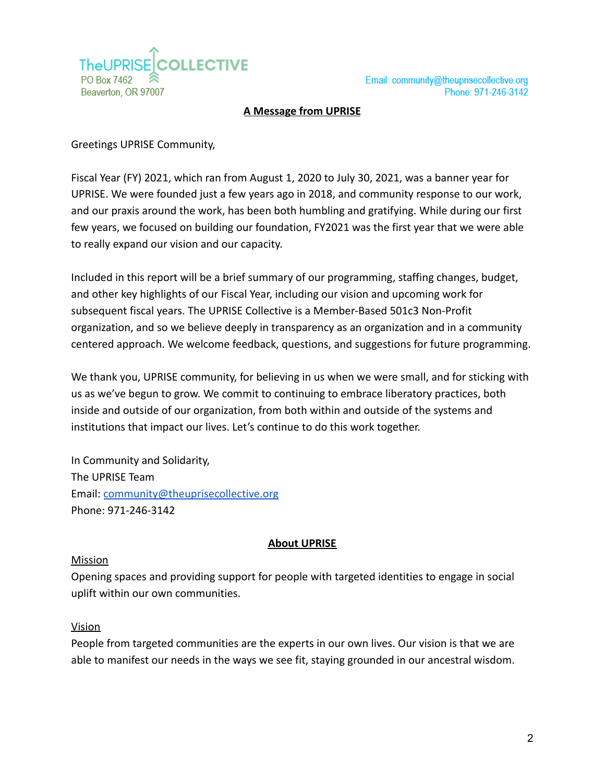

#### **A Message from UPRISE**

<span id="page-2-0"></span>Greetings UPRISE Community,

Fiscal Year (FY) 2021, which ran from August 1, 2020 to July 30, 2021, was a banner year for UPRISE. We were founded just a few years ago in 2018, and community response to our work, and our praxis around the work, has been both humbling and gratifying. While during our first few years, we focused on building our foundation, FY2021 was the first year that we were able to really expand our vision and our capacity.

Included in this report will be a brief summary of our programming, staffing changes, budget, and other key highlights of our Fiscal Year, including our vision and upcoming work for subsequent fiscal years. The UPRISE Collective is a Member-Based 501c3 Non-Profit organization, and so we believe deeply in transparency as an organization and in a community centered approach. We welcome feedback, questions, and suggestions for future programming.

We thank you, UPRISE community, for believing in us when we were small, and for sticking with us as we've begun to grow. We commit to continuing to embrace liberatory practices, both inside and outside of our organization, from both within and outside of the systems and institutions that impact our lives. Let's continue to do this work together.

In Community and Solidarity, The UPRISE Team Email: [community@theuprisecollective.org](mailto:community@theuprisecollective.org) Phone: 971-246-3142

#### **About UPRISE**

#### <span id="page-2-1"></span>Mission

Opening spaces and providing support for people with targeted identities to engage in social uplift within our own communities.

#### Vision

People from targeted communities are the experts in our own lives. Our vision is that we are able to manifest our needs in the ways we see fit, staying grounded in our ancestral wisdom.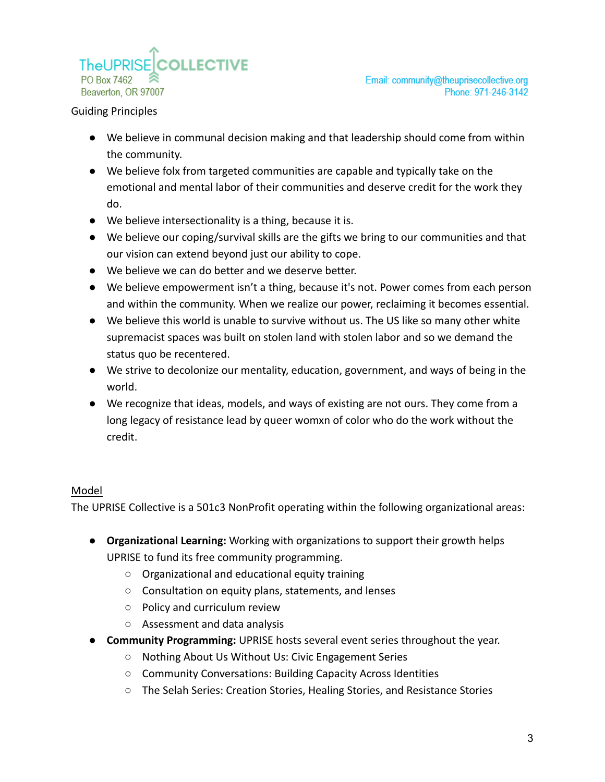

#### Guiding Principles

- We believe in communal decision making and that leadership should come from within the community.
- We believe folx from targeted communities are capable and typically take on the emotional and mental labor of their communities and deserve credit for the work they do.
- We believe intersectionality is a thing, because it is.
- We believe our coping/survival skills are the gifts we bring to our communities and that our vision can extend beyond just our ability to cope.
- We believe we can do better and we deserve better.
- We believe empowerment isn't a thing, because it's not. Power comes from each person and within the community. When we realize our power, reclaiming it becomes essential.
- We believe this world is unable to survive without us. The US like so many other white supremacist spaces was built on stolen land with stolen labor and so we demand the status quo be recentered.
- We strive to decolonize our mentality, education, government, and ways of being in the world.
- We recognize that ideas, models, and ways of existing are not ours. They come from a long legacy of resistance lead by queer womxn of color who do the work without the credit.

#### Model

The UPRISE Collective is a 501c3 NonProfit operating within the following organizational areas:

- **● Organizational Learning:** Working with organizations to support their growth helps UPRISE to fund its free community programming.
	- Organizational and educational equity training
	- Consultation on equity plans, statements, and lenses
	- Policy and curriculum review
	- Assessment and data analysis
- **● Community Programming:** UPRISE hosts several event series throughout the year.
	- Nothing About Us Without Us: Civic Engagement Series
	- Community Conversations: Building Capacity Across Identities
	- The Selah Series: Creation Stories, Healing Stories, and Resistance Stories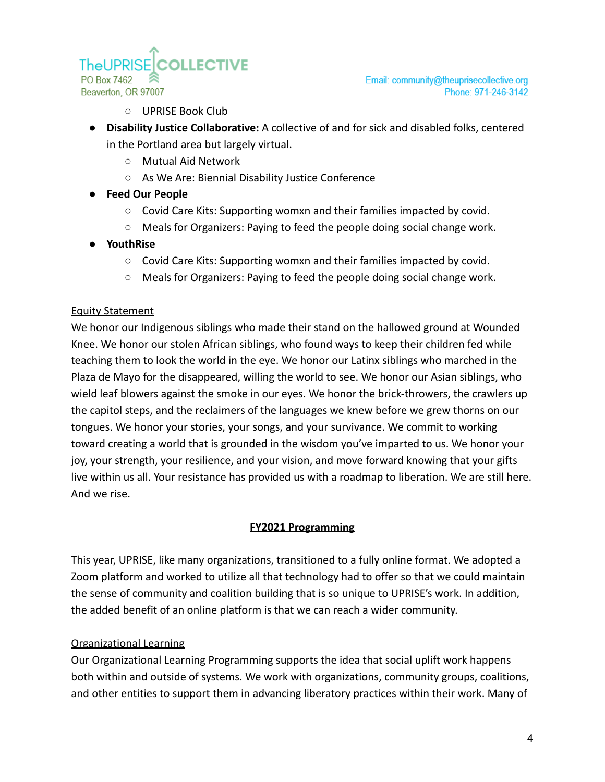**TheUPRISE** PO Box 7462 Beaverton, OR 97007

Email: community@theuprisecollective.org Phone: 971-246-3142

○ UPRISE Book Club

**COLLECTIVE** 

- **● Disability Justice Collaborative:** A collective of and for sick and disabled folks, centered in the Portland area but largely virtual.
	- Mutual Aid Network
	- As We Are: Biennial Disability Justice Conference
- **● Feed Our People**
	- Covid Care Kits: Supporting womxn and their families impacted by covid.
	- Meals for Organizers: Paying to feed the people doing social change work.
- **● YouthRise**
	- Covid Care Kits: Supporting womxn and their families impacted by covid.
	- Meals for Organizers: Paying to feed the people doing social change work.

#### Equity Statement

We honor our Indigenous siblings who made their stand on the hallowed ground at Wounded Knee. We honor our stolen African siblings, who found ways to keep their children fed while teaching them to look the world in the eye. We honor our Latinx siblings who marched in the Plaza de Mayo for the disappeared, willing the world to see. We honor our Asian siblings, who wield leaf blowers against the smoke in our eyes. We honor the brick-throwers, the crawlers up the capitol steps, and the reclaimers of the languages we knew before we grew thorns on our tongues. We honor your stories, your songs, and your survivance. We commit to working toward creating a world that is grounded in the wisdom you've imparted to us. We honor your joy, your strength, your resilience, and your vision, and move forward knowing that your gifts live within us all. Your resistance has provided us with a roadmap to liberation. We are still here. And we rise.

#### **FY2021 Programming**

<span id="page-4-0"></span>This year, UPRISE, like many organizations, transitioned to a fully online format. We adopted a Zoom platform and worked to utilize all that technology had to offer so that we could maintain the sense of community and coalition building that is so unique to UPRISE's work. In addition, the added benefit of an online platform is that we can reach a wider community.

#### <span id="page-4-1"></span>Organizational Learning

Our Organizational Learning Programming supports the idea that social uplift work happens both within and outside of systems. We work with organizations, community groups, coalitions, and other entities to support them in advancing liberatory practices within their work. Many of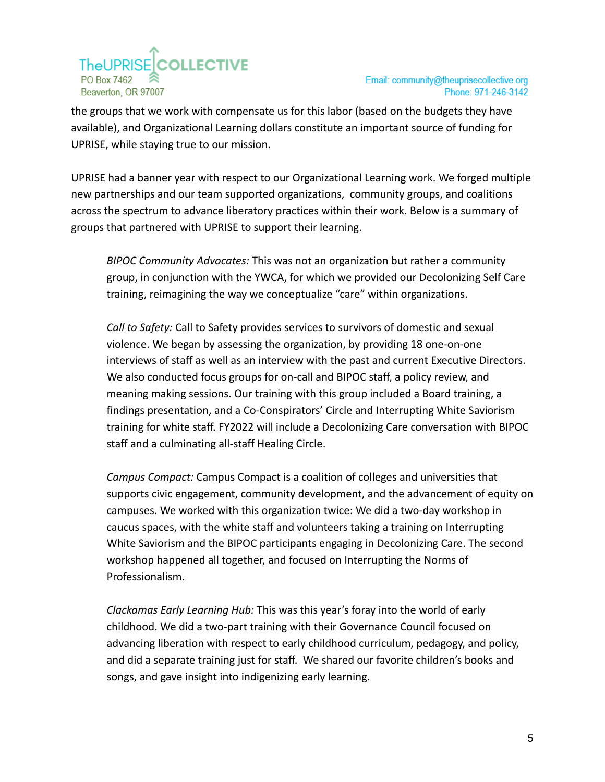# **TheUPRISECOLLECTIVE** PO Box 7462 Beaverton, OR 97007

the groups that we work with compensate us for this labor (based on the budgets they have available), and Organizational Learning dollars constitute an important source of funding for UPRISE, while staying true to our mission.

UPRISE had a banner year with respect to our Organizational Learning work. We forged multiple new partnerships and our team supported organizations, community groups, and coalitions across the spectrum to advance liberatory practices within their work. Below is a summary of groups that partnered with UPRISE to support their learning.

*BIPOC Community Advocates:* This was not an organization but rather a community group, in conjunction with the YWCA, for which we provided our Decolonizing Self Care training, reimagining the way we conceptualize "care" within organizations.

*Call to Safety:* Call to Safety provides services to survivors of domestic and sexual violence. We began by assessing the organization, by providing 18 one-on-one interviews of staff as well as an interview with the past and current Executive Directors. We also conducted focus groups for on-call and BIPOC staff, a policy review, and meaning making sessions. Our training with this group included a Board training, a findings presentation, and a Co-Conspirators' Circle and Interrupting White Saviorism training for white staff. FY2022 will include a Decolonizing Care conversation with BIPOC staff and a culminating all-staff Healing Circle.

*Campus Compact:* Campus Compact is a coalition of colleges and universities that supports civic engagement, community development, and the advancement of equity on campuses. We worked with this organization twice: We did a two-day workshop in caucus spaces, with the white staff and volunteers taking a training on Interrupting White Saviorism and the BIPOC participants engaging in Decolonizing Care. The second workshop happened all together, and focused on Interrupting the Norms of Professionalism.

*Clackamas Early Learning Hub:* This was this year's foray into the world of early childhood. We did a two-part training with their Governance Council focused on advancing liberation with respect to early childhood curriculum, pedagogy, and policy, and did a separate training just for staff. We shared our favorite children's books and songs, and gave insight into indigenizing early learning.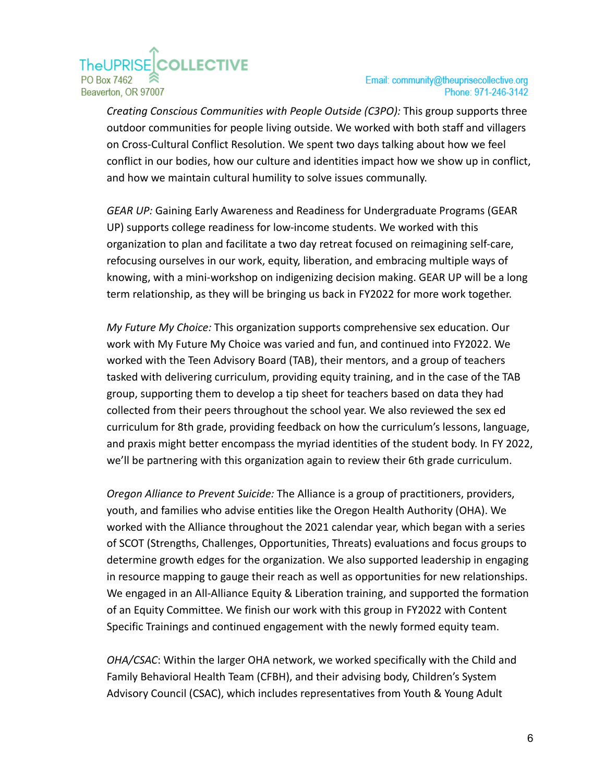# **COLLECTIVE TheUPRISE** PO Box 7462 Beaverton, OR 97007

*Creating Conscious Communities with People Outside (C3PO):* This group supports three outdoor communities for people living outside. We worked with both staff and villagers on Cross-Cultural Conflict Resolution. We spent two days talking about how we feel conflict in our bodies, how our culture and identities impact how we show up in conflict, and how we maintain cultural humility to solve issues communally.

*GEAR UP:* Gaining Early Awareness and Readiness for Undergraduate Programs (GEAR UP) supports college readiness for low-income students. We worked with this organization to plan and facilitate a two day retreat focused on reimagining self-care, refocusing ourselves in our work, equity, liberation, and embracing multiple ways of knowing, with a mini-workshop on indigenizing decision making. GEAR UP will be a long term relationship, as they will be bringing us back in FY2022 for more work together.

*My Future My Choice:* This organization supports comprehensive sex education. Our work with My Future My Choice was varied and fun, and continued into FY2022. We worked with the Teen Advisory Board (TAB), their mentors, and a group of teachers tasked with delivering curriculum, providing equity training, and in the case of the TAB group, supporting them to develop a tip sheet for teachers based on data they had collected from their peers throughout the school year. We also reviewed the sex ed curriculum for 8th grade, providing feedback on how the curriculum's lessons, language, and praxis might better encompass the myriad identities of the student body. In FY 2022, we'll be partnering with this organization again to review their 6th grade curriculum.

*Oregon Alliance to Prevent Suicide:* The Alliance is a group of practitioners, providers, youth, and families who advise entities like the Oregon Health Authority (OHA). We worked with the Alliance throughout the 2021 calendar year, which began with a series of SCOT (Strengths, Challenges, Opportunities, Threats) evaluations and focus groups to determine growth edges for the organization. We also supported leadership in engaging in resource mapping to gauge their reach as well as opportunities for new relationships. We engaged in an All-Alliance Equity & Liberation training, and supported the formation of an Equity Committee. We finish our work with this group in FY2022 with Content Specific Trainings and continued engagement with the newly formed equity team.

*OHA/CSAC*: Within the larger OHA network, we worked specifically with the Child and Family Behavioral Health Team (CFBH), and their advising body, Children's System Advisory Council (CSAC), which includes representatives from Youth & Young Adult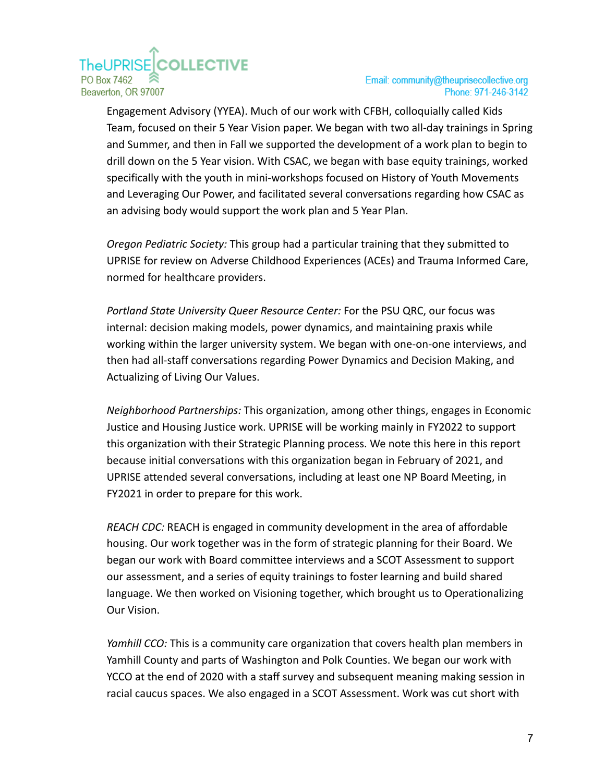## **COLLECTIVE TheUPRISE** PO Box 7462 Beaverton, OR 97007

Email: community@theuprisecollective.org Phone: 971-246-3142

Engagement Advisory (YYEA). Much of our work with CFBH, colloquially called Kids Team, focused on their 5 Year Vision paper. We began with two all-day trainings in Spring and Summer, and then in Fall we supported the development of a work plan to begin to drill down on the 5 Year vision. With CSAC, we began with base equity trainings, worked specifically with the youth in mini-workshops focused on History of Youth Movements and Leveraging Our Power, and facilitated several conversations regarding how CSAC as an advising body would support the work plan and 5 Year Plan.

*Oregon Pediatric Society:* This group had a particular training that they submitted to UPRISE for review on Adverse Childhood Experiences (ACEs) and Trauma Informed Care, normed for healthcare providers.

*Portland State University Queer Resource Center:* For the PSU QRC, our focus was internal: decision making models, power dynamics, and maintaining praxis while working within the larger university system. We began with one-on-one interviews, and then had all-staff conversations regarding Power Dynamics and Decision Making, and Actualizing of Living Our Values.

*Neighborhood Partnerships:* This organization, among other things, engages in Economic Justice and Housing Justice work. UPRISE will be working mainly in FY2022 to support this organization with their Strategic Planning process. We note this here in this report because initial conversations with this organization began in February of 2021, and UPRISE attended several conversations, including at least one NP Board Meeting, in FY2021 in order to prepare for this work.

*REACH CDC:* REACH is engaged in community development in the area of affordable housing. Our work together was in the form of strategic planning for their Board. We began our work with Board committee interviews and a SCOT Assessment to support our assessment, and a series of equity trainings to foster learning and build shared language. We then worked on Visioning together, which brought us to Operationalizing Our Vision.

*Yamhill CCO:* This is a community care organization that covers health plan members in Yamhill County and parts of Washington and Polk Counties. We began our work with YCCO at the end of 2020 with a staff survey and subsequent meaning making session in racial caucus spaces. We also engaged in a SCOT Assessment. Work was cut short with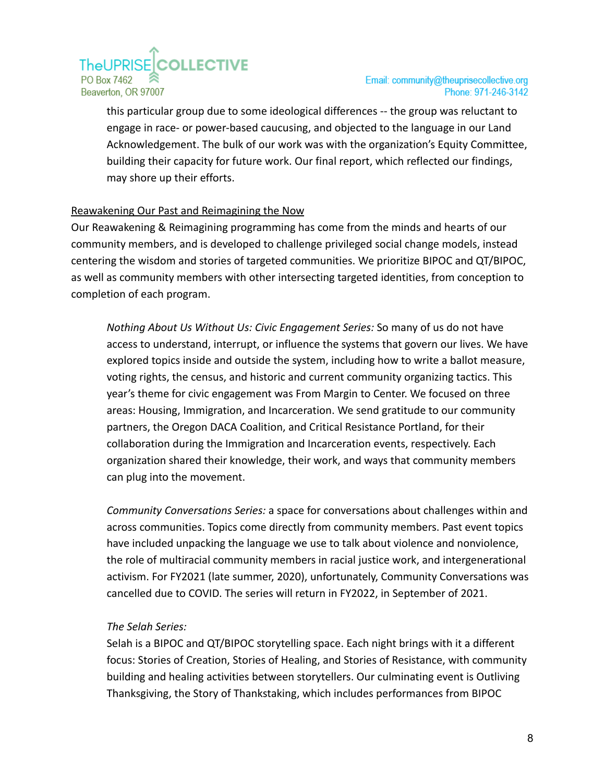# **TheUPRISECOLLECTIVE** PO Box 7462 Beaverton, OR 97007

this particular group due to some ideological differences -- the group was reluctant to engage in race- or power-based caucusing, and objected to the language in our Land Acknowledgement. The bulk of our work was with the organization's Equity Committee, building their capacity for future work. Our final report, which reflected our findings, may shore up their efforts.

## <span id="page-8-0"></span>Reawakening Our Past and Reimagining the Now

Our Reawakening & Reimagining programming has come from the minds and hearts of our community members, and is developed to challenge privileged social change models, instead centering the wisdom and stories of targeted communities. We prioritize BIPOC and QT/BIPOC, as well as community members with other intersecting targeted identities, from conception to completion of each program.

<span id="page-8-1"></span>*Nothing About Us Without Us: Civic Engagement Series:* So many of us do not have access to understand, interrupt, or influence the systems that govern our lives. We have explored topics inside and outside the system, including how to write a ballot measure, voting rights, the census, and historic and current community organizing tactics. This year's theme for civic engagement was From Margin to Center. We focused on three areas: Housing, Immigration, and Incarceration. We send gratitude to our community partners, the Oregon DACA Coalition, and Critical Resistance Portland, for their collaboration during the Immigration and Incarceration events, respectively. Each organization shared their knowledge, their work, and ways that community members can plug into the movement.

<span id="page-8-2"></span>*Community Conversations Series:* a space for conversations about challenges within and across communities. Topics come directly from community members. Past event topics have included unpacking the language we use to talk about violence and nonviolence, the role of multiracial community members in racial justice work, and intergenerational activism. For FY2021 (late summer, 2020), unfortunately, Community Conversations was cancelled due to COVID. The series will return in FY2022, in September of 2021.

## <span id="page-8-3"></span>*The Selah Series:*

Selah is a BIPOC and QT/BIPOC storytelling space. Each night brings with it a different focus: Stories of Creation, Stories of Healing, and Stories of Resistance, with community building and healing activities between storytellers. Our culminating event is Outliving Thanksgiving, the Story of Thankstaking, which includes performances from BIPOC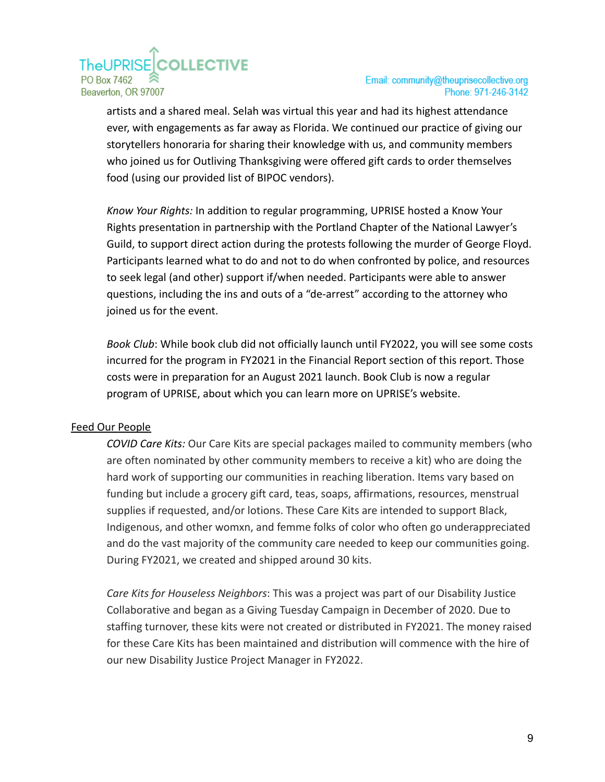# **TheUPRISECOLLECTIVE** PO Box 7462 Beaverton, OR 97007

artists and a shared meal. Selah was virtual this year and had its highest attendance ever, with engagements as far away as Florida. We continued our practice of giving our storytellers honoraria for sharing their knowledge with us, and community members who joined us for Outliving Thanksgiving were offered gift cards to order themselves food (using our provided list of BIPOC vendors).

<span id="page-9-0"></span>*Know Your Rights:* In addition to regular programming, UPRISE hosted a Know Your Rights presentation in partnership with the Portland Chapter of the National Lawyer's Guild, to support direct action during the protests following the murder of George Floyd. Participants learned what to do and not to do when confronted by police, and resources to seek legal (and other) support if/when needed. Participants were able to answer questions, including the ins and outs of a "de-arrest" according to the attorney who joined us for the event.

<span id="page-9-1"></span>*Book Club*: While book club did not officially launch until FY2022, you will see some costs incurred for the program in FY2021 in the Financial Report section of this report. Those costs were in preparation for an August 2021 launch. Book Club is now a regular program of UPRISE, about which you can learn more on UPRISE's website.

## <span id="page-9-3"></span><span id="page-9-2"></span>Feed Our People

*COVID Care Kits:* Our Care Kits are special packages mailed to community members (who are often nominated by other community members to receive a kit) who are doing the hard work of supporting our communities in reaching liberation. Items vary based on funding but include a grocery gift card, teas, soaps, affirmations, resources, menstrual supplies if requested, and/or lotions. These Care Kits are intended to support Black, Indigenous, and other womxn, and femme folks of color who often go underappreciated and do the vast majority of the community care needed to keep our communities going. During FY2021, we created and shipped around 30 kits.

*Care Kits for Houseless Neighbors*: This was a project was part of our Disability Justice Collaborative and began as a Giving Tuesday Campaign in December of 2020. Due to staffing turnover, these kits were not created or distributed in FY2021. The money raised for these Care Kits has been maintained and distribution will commence with the hire of our new Disability Justice Project Manager in FY2022.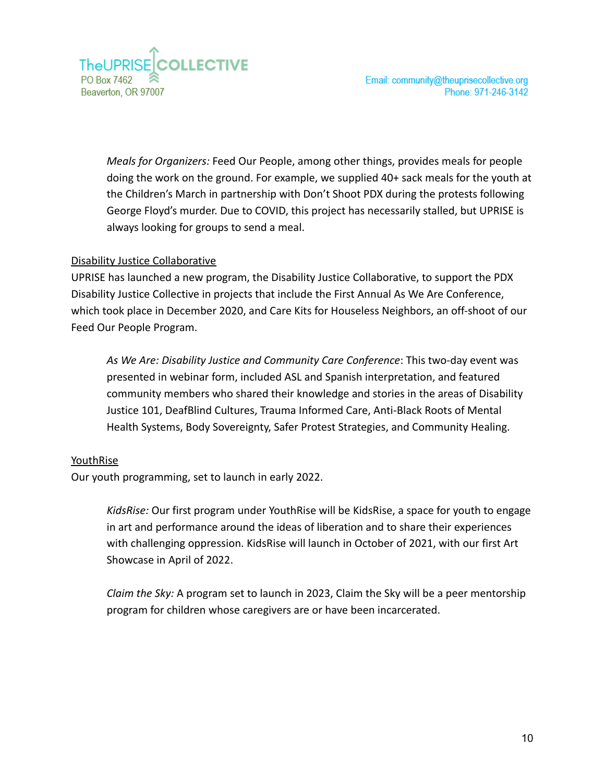

Email: community@theuprisecollective.org Phone: 971-246-3142

<span id="page-10-1"></span>*Meals for Organizers:* Feed Our People, among other things, provides meals for people doing the work on the ground. For example, we supplied 40+ sack meals for the youth at the Children's March in partnership with Don't Shoot PDX during the protests following George Floyd's murder. Due to COVID, this project has necessarily stalled, but UPRISE is always looking for groups to send a meal.

#### <span id="page-10-0"></span>Disability Justice Collaborative

UPRISE has launched a new program, the Disability Justice Collaborative, to support the PDX Disability Justice Collective in projects that include the First Annual As We Are Conference, which took place in December 2020, and Care Kits for Houseless Neighbors, an off-shoot of our Feed Our People Program.

*As We Are: Disability Justice and Community Care Conference*: This two-day event was presented in webinar form, included ASL and Spanish interpretation, and featured community members who shared their knowledge and stories in the areas of Disability Justice 101, DeafBlind Cultures, Trauma Informed Care, Anti-Black Roots of Mental Health Systems, Body Sovereignty, Safer Protest Strategies, and Community Healing.

#### <span id="page-10-2"></span>YouthRise

<span id="page-10-3"></span>Our youth programming, set to launch in early 2022.

*KidsRise:* Our first program under YouthRise will be KidsRise, a space for youth to engage in art and performance around the ideas of liberation and to share their experiences with challenging oppression. KidsRise will launch in October of 2021, with our first Art Showcase in April of 2022.

<span id="page-10-4"></span>*Claim the Sky:* A program set to launch in 2023, Claim the Sky will be a peer mentorship program for children whose caregivers are or have been incarcerated.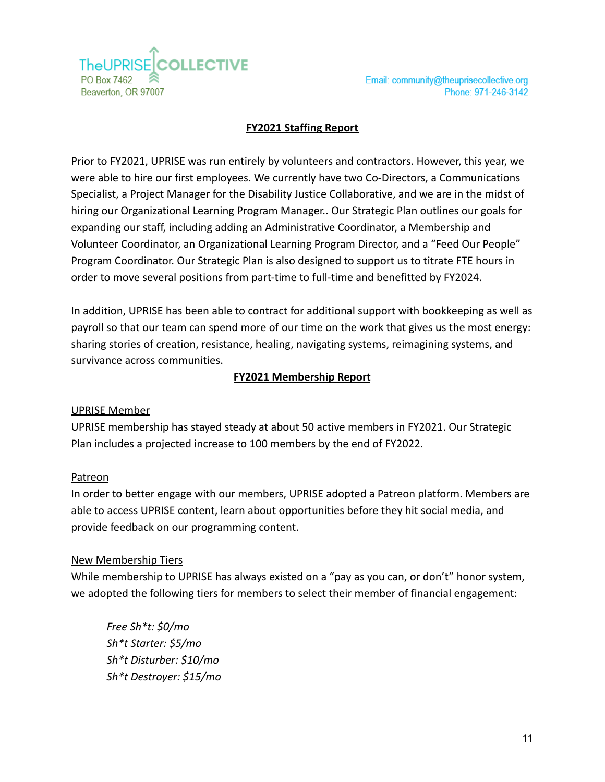**COLLECTIVE** TheUPRISEI PO Box 7462 Beaverton, OR 97007

## **FY2021 Staffing Report**

<span id="page-11-0"></span>Prior to FY2021, UPRISE was run entirely by volunteers and contractors. However, this year, we were able to hire our first employees. We currently have two Co-Directors, a Communications Specialist, a Project Manager for the Disability Justice Collaborative, and we are in the midst of hiring our Organizational Learning Program Manager.. Our Strategic Plan outlines our goals for expanding our staff, including adding an Administrative Coordinator, a Membership and Volunteer Coordinator, an Organizational Learning Program Director, and a "Feed Our People" Program Coordinator. Our Strategic Plan is also designed to support us to titrate FTE hours in order to move several positions from part-time to full-time and benefitted by FY2024.

In addition, UPRISE has been able to contract for additional support with bookkeeping as well as payroll so that our team can spend more of our time on the work that gives us the most energy: sharing stories of creation, resistance, healing, navigating systems, reimagining systems, and survivance across communities.

#### **FY2021 Membership Report**

#### <span id="page-11-1"></span>UPRISE Member

UPRISE membership has stayed steady at about 50 active members in FY2021. Our Strategic Plan includes a projected increase to 100 members by the end of FY2022.

#### Patreon

In order to better engage with our members, UPRISE adopted a Patreon platform. Members are able to access UPRISE content, learn about opportunities before they hit social media, and provide feedback on our programming content.

#### New Membership Tiers

While membership to UPRISE has always existed on a "pay as you can, or don't" honor system, we adopted the following tiers for members to select their member of financial engagement:

*Free Sh\*t: \$0/mo Sh\*t Starter: \$5/mo Sh\*t Disturber: \$10/mo Sh\*t Destroyer: \$15/mo*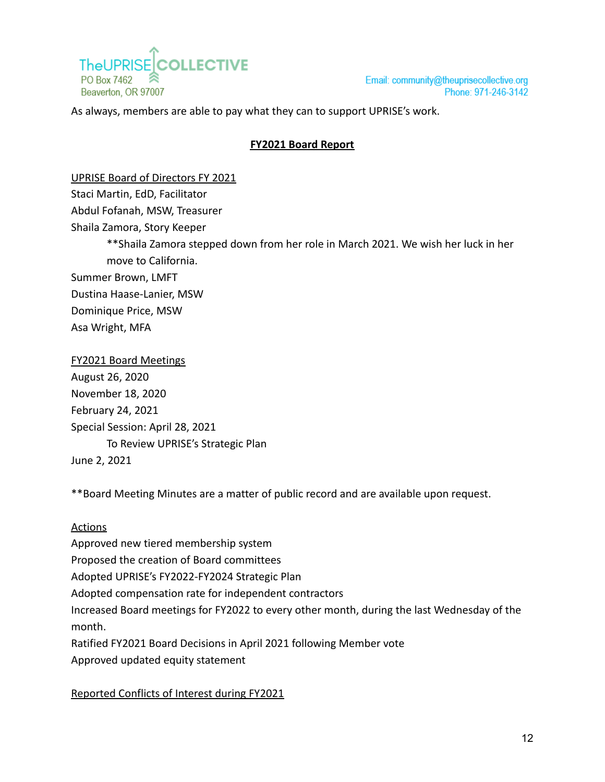

Email: community@theuprisecollective.org Phone: 971-246-3142

<span id="page-12-0"></span>As always, members are able to pay what they can to support UPRISE's work.

### **FY2021 Board Report**

UPRISE Board of Directors FY 2021

Staci Martin, EdD, Facilitator

Abdul Fofanah, MSW, Treasurer

Shaila Zamora, Story Keeper

\*\*Shaila Zamora stepped down from her role in March 2021. We wish her luck in her move to California.

Summer Brown, LMFT

Dustina Haase-Lanier, MSW

Dominique Price, MSW

Asa Wright, MFA

FY2021 Board Meetings August 26, 2020 November 18, 2020 February 24, 2021 Special Session: April 28, 2021 To Review UPRISE's Strategic Plan June 2, 2021

\*\*Board Meeting Minutes are a matter of public record and are available upon request.

#### **Actions**

Approved new tiered membership system Proposed the creation of Board committees Adopted UPRISE's FY2022-FY2024 Strategic Plan Adopted compensation rate for independent contractors Increased Board meetings for FY2022 to every other month, during the last Wednesday of the month. Ratified FY2021 Board Decisions in April 2021 following Member vote Approved updated equity statement

## Reported Conflicts of Interest during FY2021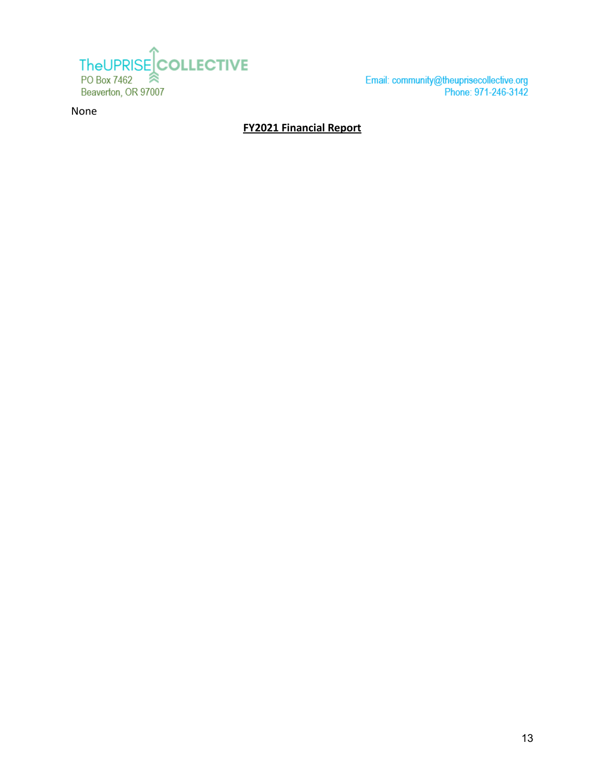

Email: community@theuprisecollective.org<br>Phone: 971-246-3142

<span id="page-13-0"></span>None

## **FY2021 Financial Report**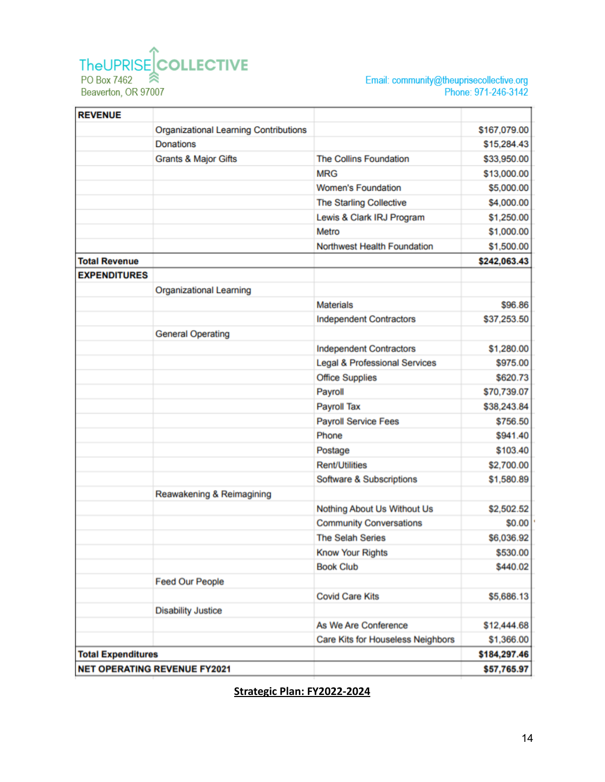## TheUPRISE COLLECTIVE PO Box 7462 ≋ Beaverton, OR 97007

Email: community@theuprisecollective.org<br>Phone: 971-246-3142

| <b>REVENUE</b>                      |                                              |                                          |              |
|-------------------------------------|----------------------------------------------|------------------------------------------|--------------|
|                                     | <b>Organizational Learning Contributions</b> |                                          | \$167,079.00 |
|                                     | <b>Donations</b>                             |                                          | \$15,284.43  |
|                                     | <b>Grants &amp; Major Gifts</b>              | <b>The Collins Foundation</b>            | \$33,950.00  |
|                                     |                                              | <b>MRG</b>                               | \$13,000.00  |
|                                     |                                              | <b>Women's Foundation</b>                | \$5,000.00   |
|                                     |                                              | The Starling Collective                  | \$4,000.00   |
|                                     |                                              | Lewis & Clark IRJ Program                | \$1,250.00   |
|                                     |                                              | Metro                                    | \$1,000.00   |
|                                     |                                              | <b>Northwest Health Foundation</b>       | \$1,500.00   |
| <b>Total Revenue</b>                |                                              |                                          | \$242,063.43 |
| <b>EXPENDITURES</b>                 |                                              |                                          |              |
|                                     | <b>Organizational Learning</b>               |                                          |              |
|                                     |                                              | <b>Materials</b>                         | \$96.86      |
|                                     |                                              | <b>Independent Contractors</b>           | \$37,253.50  |
|                                     | <b>General Operating</b>                     |                                          |              |
|                                     |                                              | <b>Independent Contractors</b>           | \$1,280.00   |
|                                     |                                              | <b>Legal &amp; Professional Services</b> | \$975.00     |
|                                     |                                              | <b>Office Supplies</b>                   | \$620.73     |
|                                     |                                              | Payroll                                  | \$70,739.07  |
|                                     |                                              | <b>Payroll Tax</b>                       | \$38,243.84  |
|                                     |                                              | <b>Payroll Service Fees</b>              | \$756.50     |
|                                     |                                              | Phone                                    | \$941.40     |
|                                     |                                              | Postage                                  | \$103.40     |
|                                     |                                              | <b>Rent/Utilities</b>                    | \$2,700.00   |
|                                     |                                              | <b>Software &amp; Subscriptions</b>      | \$1,580.89   |
|                                     | Reawakening & Reimagining                    |                                          |              |
|                                     |                                              | Nothing About Us Without Us              | \$2,502.52   |
|                                     |                                              | <b>Community Conversations</b>           | \$0.00       |
|                                     |                                              | <b>The Selah Series</b>                  | \$6,036.92   |
|                                     |                                              | <b>Know Your Rights</b>                  | \$530.00     |
|                                     |                                              | <b>Book Club</b>                         | \$440.02     |
|                                     | <b>Feed Our People</b>                       |                                          |              |
|                                     |                                              | <b>Covid Care Kits</b>                   | \$5,686.13   |
|                                     | <b>Disability Justice</b>                    |                                          |              |
|                                     |                                              | As We Are Conference                     | \$12,444.68  |
|                                     |                                              | <b>Care Kits for Houseless Neighbors</b> | \$1,366.00   |
| <b>Total Expenditures</b>           |                                              |                                          | \$184,297.46 |
| <b>NET OPERATING REVENUE FY2021</b> |                                              |                                          | \$57,765.97  |

# <span id="page-14-0"></span>**Strategic Plan: FY2022-2024**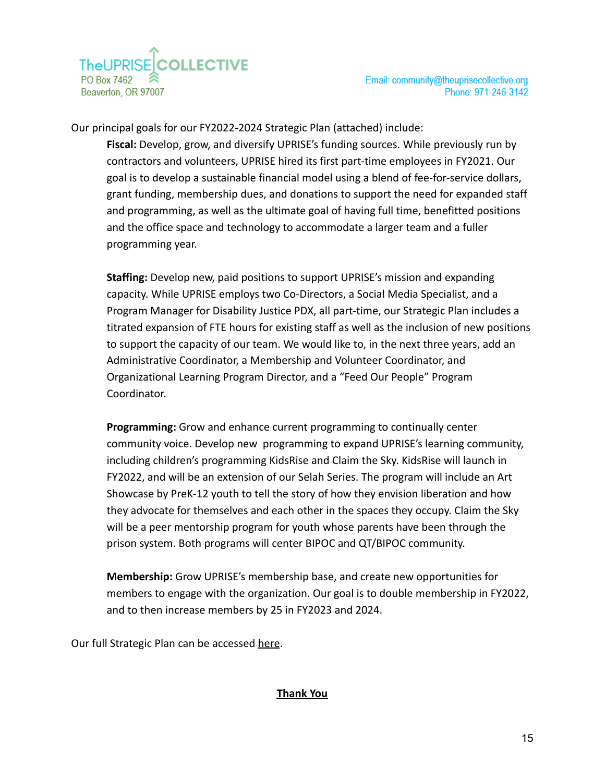Our principal goals for our FY2022-2024 Strategic Plan (attached) include:

**Fiscal:** Develop, grow, and diversify UPRISE's funding sources. While previously run by contractors and volunteers, UPRISE hired its first part-time employees in FY2021. Our goal is to develop a sustainable financial model using a blend of fee-for-service dollars, grant funding, membership dues, and donations to support the need for expanded staff and programming, as well as the ultimate goal of having full time, benefitted positions and the office space and technology to accommodate a larger team and a fuller programming year.

**Staffing:** Develop new, paid positions to support UPRISE's mission and expanding capacity. While UPRISE employs two Co-Directors, a Social Media Specialist, and a Program Manager for Disability Justice PDX, all part-time, our Strategic Plan includes a titrated expansion of FTE hours for existing staff as well as the inclusion of new positions to support the capacity of our team. We would like to, in the next three years, add an Administrative Coordinator, a Membership and Volunteer Coordinator, and Organizational Learning Program Director, and a "Feed Our People" Program Coordinator.

**Programming:** Grow and enhance current programming to continually center community voice. Develop new programming to expand UPRISE's learning community, including children's programming KidsRise and Claim the Sky. KidsRise will launch in FY2022, and will be an extension of our Selah Series. The program will include an Art Showcase by PreK-12 youth to tell the story of how they envision liberation and how they advocate for themselves and each other in the spaces they occupy. Claim the Sky will be a peer mentorship program for youth whose parents have been through the prison system. Both programs will center BIPOC and QT/BIPOC community.

**Membership:** Grow UPRISE's membership base, and create new opportunities for members to engage with the organization. Our goal is to double membership in FY2022, and to then increase members by 25 in FY2023 and 2024.

<span id="page-15-0"></span>Our full Strategic Plan can be accessed [here](http://www.theuprisecollective.org/our-organization.html).

## **Thank You**